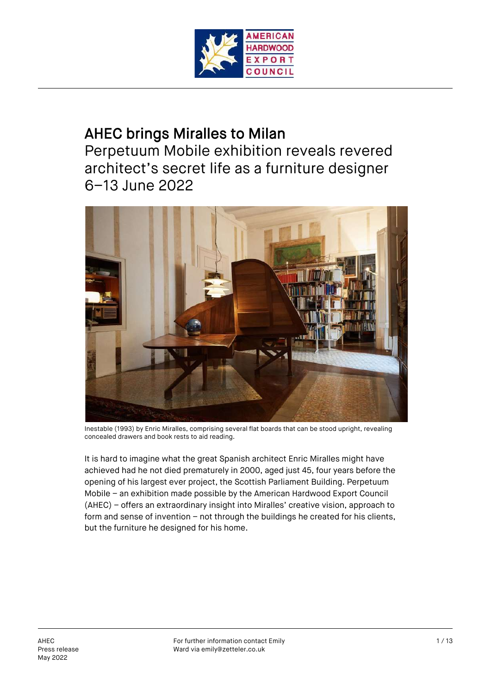

# AHEC brings Miralles to Milan

Perpetuum Mobile exhibition reveals revered architect's secret life as a furniture designer 6–13 June 2022



Inestable (1993) by Enric Miralles, comprising several flat boards that can be stood upright, revealing concealed drawers and book rests to aid reading.

It is hard to imagine what the great Spanish architect Enric Miralles might have achieved had he not died prematurely in 2000, aged just 45, four years before the opening of his largest ever project, the Scottish Parliament Building. Perpetuum Mobile – an exhibition made possible by the American Hardwood Export Council (AHEC) – offers an extraordinary insight into Miralles' creative vision, approach to form and sense of invention – not through the buildings he created for his clients, but the furniture he designed for his home.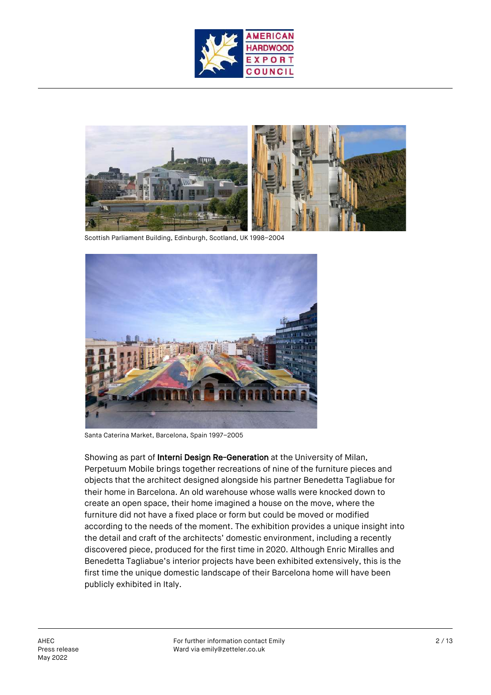



Scottish Parliament Building, Edinburgh, Scotland, UK 1998–2004



Santa Caterina Market, Barcelona, Spain 1997–2005

Showing as part of Interni Design Re-Generation at the University of Milan, Perpetuum Mobile brings together recreations of nine of the furniture pieces and objects that the architect designed alongside his partner Benedetta Tagliabue for their home in Barcelona. An old warehouse whose walls were knocked down to create an open space, their home imagined a house on the move, where the furniture did not have a fixed place or form but could be moved or modified according to the needs of the moment. The exhibition provides a unique insight into the detail and craft of the architects' domestic environment, including a recently discovered piece, produced for the first time in 2020. Although Enric Miralles and Benedetta Tagliabue's interior projects have been exhibited extensively, this is the first time the unique domestic landscape of their Barcelona home will have been publicly exhibited in Italy.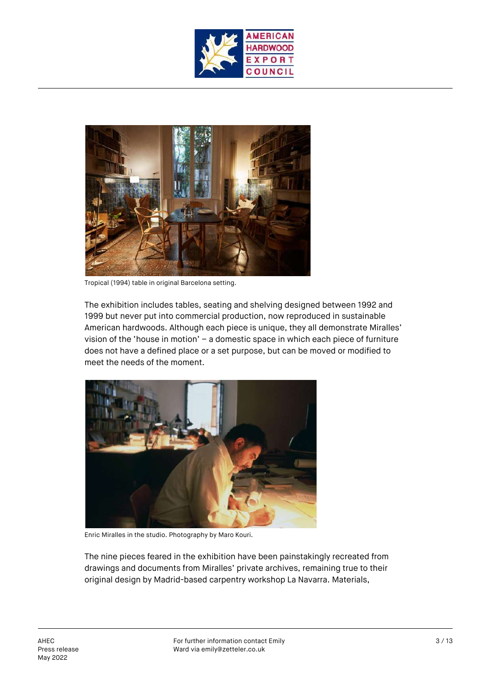



Tropical (1994) table in original Barcelona setting.

The exhibition includes tables, seating and shelving designed between 1992 and 1999 but never put into commercial production, now reproduced in sustainable American hardwoods. Although each piece is unique, they all demonstrate Miralles' vision of the 'house in motion' – a domestic space in which each piece of furniture does not have a defined place or a set purpose, but can be moved or modified to meet the needs of the moment.



Enric Miralles in the studio. Photography by Maro Kouri.

The nine pieces feared in the exhibition have been painstakingly recreated from drawings and documents from Miralles' private archives, remaining true to their original design by Madrid-based carpentry workshop La Navarra. Materials,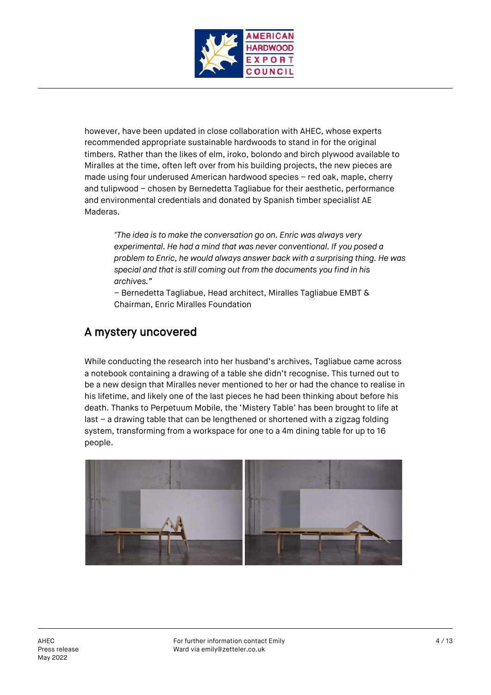

however, have been updated in close collaboration with AHEC, whose experts recommended appropriate sustainable hardwoods to stand in for the original timbers. Rather than the likes of elm, iroko, bolondo and birch plywood available to Miralles at the time, often left over from his building projects, the new pieces are made using four underused American hardwood species – red oak, maple, cherry and tulipwood – chosen by Bernedetta Tagliabue for their aesthetic, performance and environmental credentials and donated by Spanish timber specialist AE Maderas.

*"The idea is to make the conversation go on. Enric was always very experimental. He had a mind that was never conventional. If you posed a problem to Enric, he would always answer back with a surprising thing. He was special and that is still coming out from the documents you find in his archives."*

– Bernedetta Tagliabue, Head architect, Miralles Tagliabue EMBT & Chairman, Enric Miralles Foundation

# A mystery uncovered

While conducting the research into her husband's archives, Tagliabue came across a notebook containing a drawing of a table she didn't recognise. This turned out to be a new design that Miralles never mentioned to her or had the chance to realise in his lifetime, and likely one of the last pieces he had been thinking about before his death. Thanks to Perpetuum Mobile, the 'Mistery Table' has been brought to life at last – a drawing table that can be lengthened or shortened with a zigzag folding system, transforming from a workspace for one to a 4m dining table for up to 16 people.

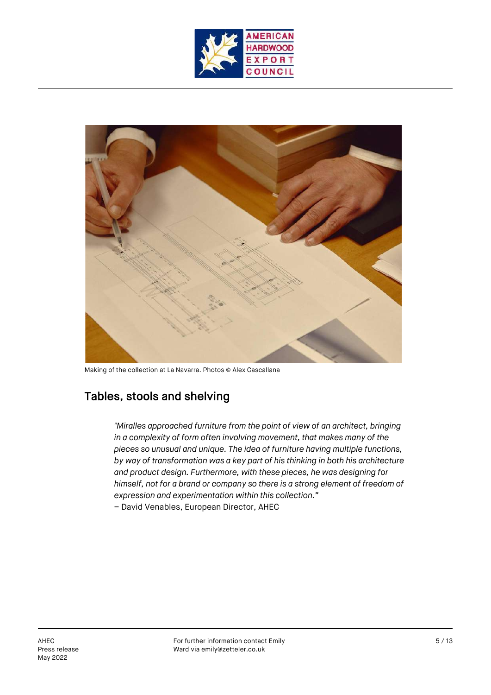



Making of the collection at La Navarra. Photos © Alex Cascallana

# Tables, stools and shelving

*"Miralles approached furniture from the point of view of an architect, bringing in a complexity of form often involving movement, that makes many of the pieces so unusual and unique. The idea of furniture having multiple functions, by way of transformation was a key part of his thinking in both his architecture and product design. Furthermore, with these pieces, he was designing for himself, not for a brand or company so there is a strong element of freedom of expression and experimentation within this collection."*

– David Venables, European Director, AHEC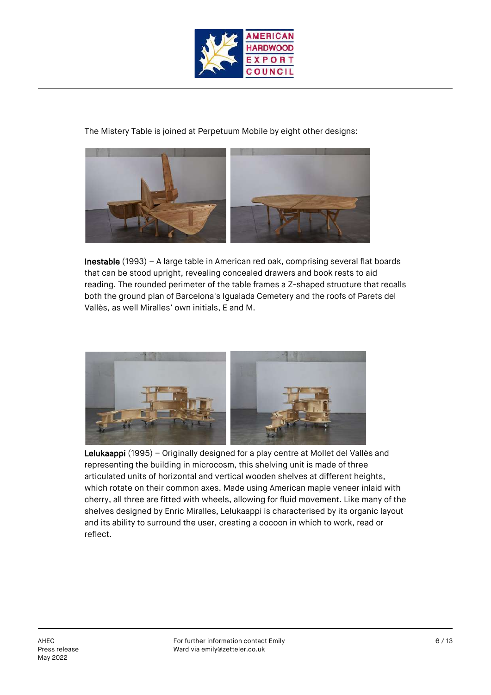

The Mistery Table is joined at Perpetuum Mobile by eight other designs:



Inestable (1993) – A large table in American red oak, comprising several flat boards that can be stood upright, revealing concealed drawers and book rests to aid reading. The rounded perimeter of the table frames a Z-shaped structure that recalls both the ground plan of Barcelona's Igualada Cemetery and the roofs of Parets del Vallès, as well Miralles' own initials, E and M.



Lelukaappi (1995) – Originally designed for a play centre at Mollet del Vallès and representing the building in microcosm, this shelving unit is made of three articulated units of horizontal and vertical wooden shelves at different heights, which rotate on their common axes. Made using American maple veneer inlaid with cherry, all three are fitted with wheels, allowing for fluid movement. Like many of the shelves designed by Enric Miralles, Lelukaappi is characterised by its organic layout and its ability to surround the user, creating a cocoon in which to work, read or reflect.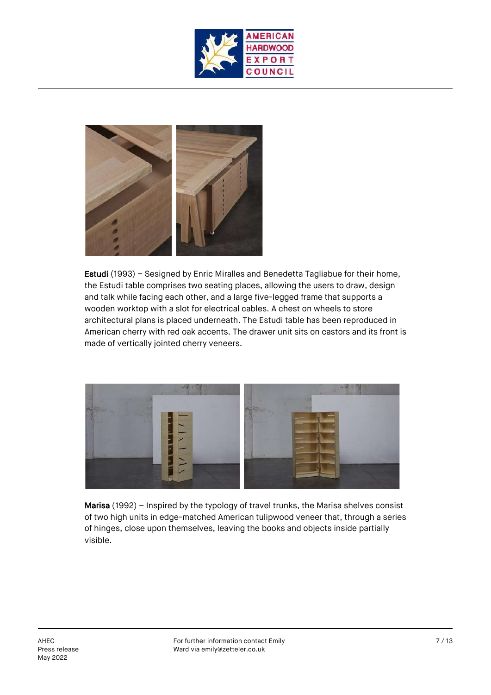



Estudi (1993) – Sesigned by Enric Miralles and Benedetta Tagliabue for their home, the Estudi table comprises two seating places, allowing the users to draw, design and talk while facing each other, and a large five-legged frame that supports a wooden worktop with a slot for electrical cables. A chest on wheels to store architectural plans is placed underneath. The Estudi table has been reproduced in American cherry with red oak accents. The drawer unit sits on castors and its front is made of vertically jointed cherry veneers.



Marisa (1992) – Inspired by the typology of travel trunks, the Marisa shelves consist of two high units in edge-matched American tulipwood veneer that, through a series of hinges, close upon themselves, leaving the books and objects inside partially visible.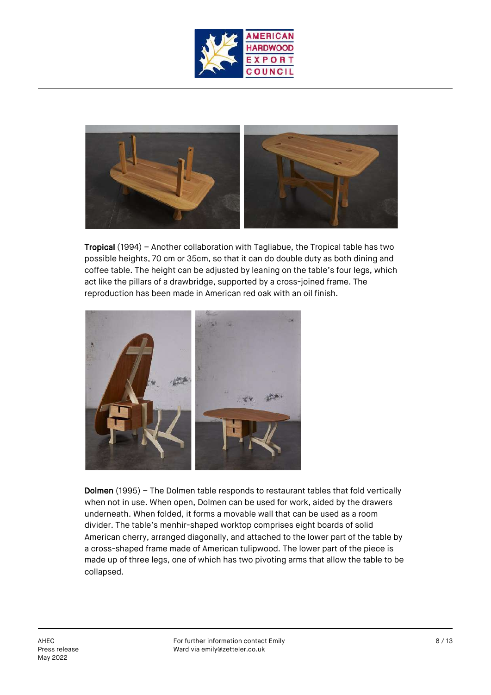



Tropical (1994) – Another collaboration with Tagliabue, the Tropical table has two possible heights, 70 cm or 35cm, so that it can do double duty as both dining and coffee table. The height can be adjusted by leaning on the table's four legs, which act like the pillars of a drawbridge, supported by a cross-joined frame. The reproduction has been made in American red oak with an oil finish.



Dolmen (1995) – The Dolmen table responds to restaurant tables that fold vertically when not in use. When open, Dolmen can be used for work, aided by the drawers underneath. When folded, it forms a movable wall that can be used as a room divider. The table's menhir-shaped worktop comprises eight boards of solid American cherry, arranged diagonally, and attached to the lower part of the table by a cross-shaped frame made of American tulipwood. The lower part of the piece is made up of three legs, one of which has two pivoting arms that allow the table to be collapsed.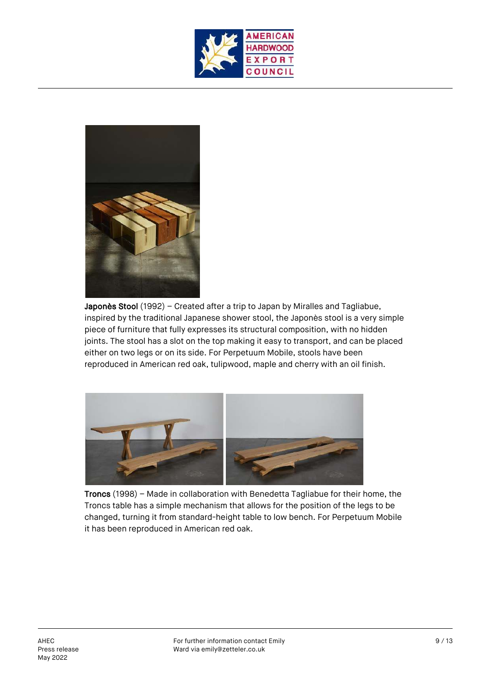



Japonès Stool (1992) - Created after a trip to Japan by Miralles and Tagliabue, inspired by the traditional Japanese shower stool, the Japonès stool is a very simple piece of furniture that fully expresses its structural composition, with no hidden joints. The stool has a slot on the top making it easy to transport, and can be placed either on two legs or on its side. For Perpetuum Mobile, stools have been reproduced in American red oak, tulipwood, maple and cherry with an oil finish.



Troncs (1998) – Made in collaboration with Benedetta Tagliabue for their home, the Troncs table has a simple mechanism that allows for the position of the legs to be changed, turning it from standard-height table to low bench. For Perpetuum Mobile it has been reproduced in American red oak.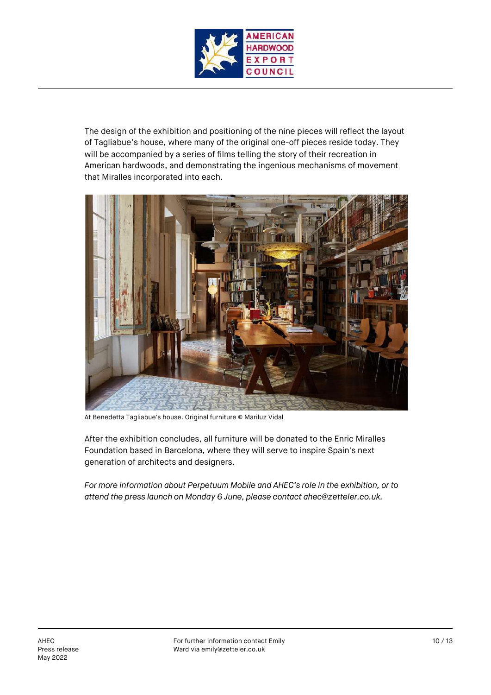

The design of the exhibition and positioning of the nine pieces will reflect the layout of Tagliabue's house, where many of the original one-off pieces reside today. They will be accompanied by a series of films telling the story of their recreation in American hardwoods, and demonstrating the ingenious mechanisms of movement that Miralles incorporated into each.



At Benedetta Tagliabue's house. Original furniture © Mariluz Vidal

After the exhibition concludes, all furniture will be donated to the Enric Miralles Foundation based in Barcelona, where they will serve to inspire Spain's next generation of architects and designers.

*For more information about Perpetuum Mobile and AHEC's role in the exhibition, or to attend the press launch on Monday 6 June, please contact ahec@zetteler.co.uk.*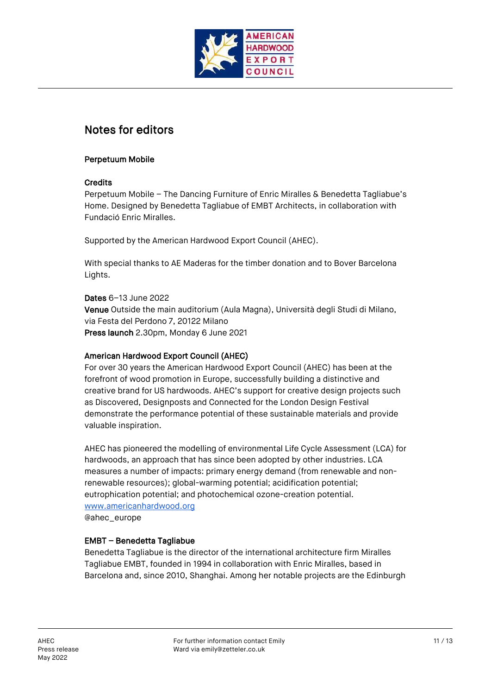

# Notes for editors

#### Perpetuum Mobile

#### **Credits**

Perpetuum Mobile – The Dancing Furniture of Enric Miralles & Benedetta Tagliabue's Home. Designed by Benedetta Tagliabue of EMBT Architects, in collaboration with Fundació Enric Miralles.

Supported by the American Hardwood Export Council (AHEC).

With special thanks to AE Maderas for the timber donation and to Bover Barcelona Lights.

Dates 6–13 June 2022 Venue Outside the main auditorium (Aula Magna), Università degli Studi di Milano, via Festa del Perdono 7, 20122 Milano Press launch 2.30pm, Monday 6 June 2021

### American Hardwood Export Council (AHEC)

For over 30 years the American Hardwood Export Council (AHEC) has been at the forefront of wood promotion in Europe, successfully building a distinctive and creative brand for US hardwoods. AHEC's support for creative design projects such as Discovered, Designposts and Connected for the London Design Festival demonstrate the performance potential of these sustainable materials and provide valuable inspiration.

AHEC has pioneered the modelling of environmental Life Cycle Assessment (LCA) for hardwoods, an approach that has since been adopted by other industries. LCA measures a number of impacts: primary energy demand (from renewable and nonrenewable resources); global-warming potential; acidification potential; eutrophication potential; and photochemical ozone-creation potential. www.americanhardwood.org @ahec\_europe

### EMBT – Benedetta Tagliabue

Benedetta Tagliabue is the director of the international architecture firm Miralles Tagliabue EMBT, founded in 1994 in collaboration with Enric Miralles, based in Barcelona and, since 2010, Shanghai. Among her notable projects are the Edinburgh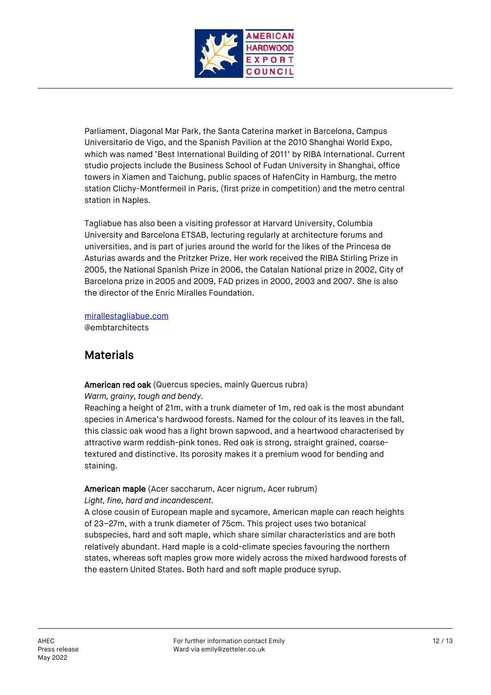

Parliament, Diagonal Mar Park, the Santa Caterina market in Barcelona, Campus Universitario de Vigo, and the Spanish Pavilion at the 2010 Shanghai World Expo, which was named 'Best International Building of 2011' by RIBA International. Current studio projects include the Business School of Fudan University in Shanghai, office towers in Xiamen and Taichung, public spaces of HafenCity in Hamburg, the metro station Clichy-Montfermeil in Paris, (first prize in competition) and the metro central station in Naples.

Tagliabue has also been a visiting professor at Harvard University, Columbia University and Barcelona ETSAB, lecturing regularly at architecture forums and universities, and is part of juries around the world for the likes of the Princesa de Asturias awards and the Pritzker Prize. Her work received the RIBA Stirling Prize in 2005, the National Spanish Prize in 2006, the Catalan National prize in 2002, City of Barcelona prize in 2005 and 2009, FAD prizes in 2000, 2003 and 2007. She is also the director of the Enric Miralles Foundation.

mirallestagliabue.com

@embtarchitects

### **Materials**

American red oak (Quercus species, mainly Quercus rubra)

*Warm, grainy, tough and bendy.*

Reaching a height of 21m, with a trunk diameter of 1m, red oak is the most abundant species in America's hardwood forests. Named for the colour of its leaves in the fall, this classic oak wood has a light brown sapwood, and a heartwood characterised by attractive warm reddish-pink tones. Red oak is strong, straight grained, coarsetextured and distinctive. Its porosity makes it a premium wood for bending and staining.

American maple (Acer saccharum, Acer nigrum, Acer rubrum) *Light, fine, hard and incandescent.*

A close cousin of European maple and sycamore, American maple can reach heights of 23–27m, with a trunk diameter of 75cm. This project uses two botanical subspecies, hard and soft maple, which share similar characteristics and are both relatively abundant. Hard maple is a cold-climate species favouring the northern states, whereas soft maples grow more widely across the mixed hardwood forests of the eastern United States. Both hard and soft maple produce syrup.